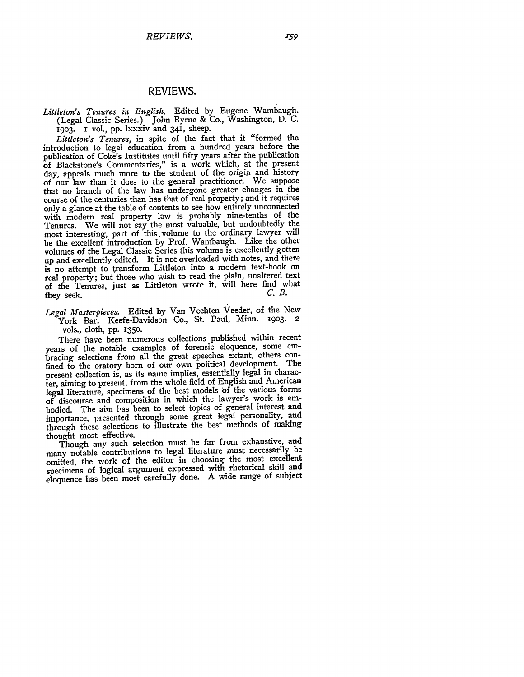## REVIEWS.

*Littleton's Tenures in English.* Edited by Eugene Wambaugh. (Legal Classic Series.) John Byrne & **Co.,** Washington, D. C. I9O3. I vol., pp. lxxxiv and 341, sheep.

*Littleton's Tenures,* in spite of the fact that it "formed the introduction to legal education from a hundred years before the publication of Coke's Institutes until fifty years after the publication of Blackstone's Commentaries," is a work which, at the present day, appeals much more to the student of the origin and history of our law than it does to the general practitioner. We suppose that no branch of the law has undergone greater changes in the course of the centuries than has that of real property; and it requires only a glance at the table of contents to see how entirely unconnected with modern real property law is probably nine-tenths of the Tenures. We will not say the most valuable, but undoubtedly the most interesting, part of this.volume to the ordinary lawyer will be the excellent introduction by Prof. Wambaugh. Like the other volumes of the Legal Classic Series this volume is excellently gotten up and excellently edited. It is not overloaded with notes, and there is no attempt to transform Littleton into a modern text-book on real property; but those who wish to read the plain, unaltered text of the Tenures, just as Littleton wrote it, will here find what they seek. *C.B.*

*Legal Masterpieces.* Edited by Van Vechten Veeder, of the New York Bar. Keefe-Davidson Co., St. Paul, Minn. 1903. 2 vols., cloth, pp. **1350.**

There have been numerous collections published within recent years of the notable examples of forensic eloquence, some embracing selections from all the great speeches extant, others confined to the oratory born of our own political development. The present collection is, as its name implies, essentially legal in character, aiming to present, from the whole field of English and American legal literature, specimens of the best models **of** the various forms of discourse and composition in which the lawyer's work is embodied. The aim las been to select topics of general interest and importance, presented through some great legal personality, and through these selections to illustrate the best methods of making thought most effective.

Though any such selection must be far from exhaustive, and many notable contributions to legal literature must necessarily be omitted, the work of the editor in choosing the most excellent specimens of logical argument expressed with rhetorical skill and eloquence has been most carefully done. A wide range of subject